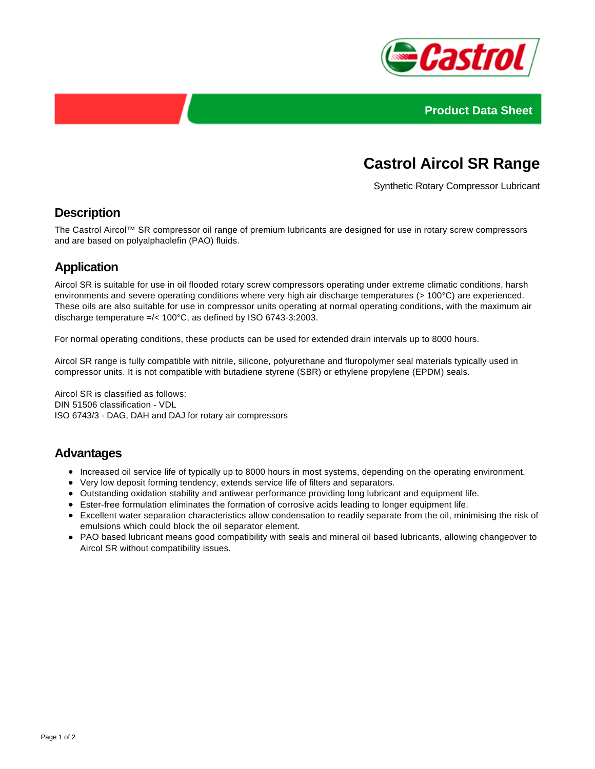



# **Castrol Aircol SR Range**

Synthetic Rotary Compressor Lubricant

## **Description**

The Castrol Aircol™ SR compressor oil range of premium lubricants are designed for use in rotary screw compressors and are based on polyalphaolefin (PAO) fluids.

## **Application**

Aircol SR is suitable for use in oil flooded rotary screw compressors operating under extreme climatic conditions, harsh environments and severe operating conditions where very high air discharge temperatures (> 100°C) are experienced. These oils are also suitable for use in compressor units operating at normal operating conditions, with the maximum air discharge temperature =/< 100°C, as defined by ISO 6743-3:2003.

For normal operating conditions, these products can be used for extended drain intervals up to 8000 hours.

Aircol SR range is fully compatible with nitrile, silicone, polyurethane and fluropolymer seal materials typically used in compressor units. It is not compatible with butadiene styrene (SBR) or ethylene propylene (EPDM) seals.

Aircol SR is classified as follows: DIN 51506 classification - VDL ISO 6743/3 - DAG, DAH and DAJ for rotary air compressors

#### **Advantages**

- Increased oil service life of typically up to 8000 hours in most systems, depending on the operating environment.
- Very low deposit forming tendency, extends service life of filters and separators.
- Outstanding oxidation stability and antiwear performance providing long lubricant and equipment life.
- Ester-free formulation eliminates the formation of corrosive acids leading to longer equipment life.
- Excellent water separation characteristics allow condensation to readily separate from the oil, minimising the risk of emulsions which could block the oil separator element.
- PAO based lubricant means good compatibility with seals and mineral oil based lubricants, allowing changeover to Aircol SR without compatibility issues.